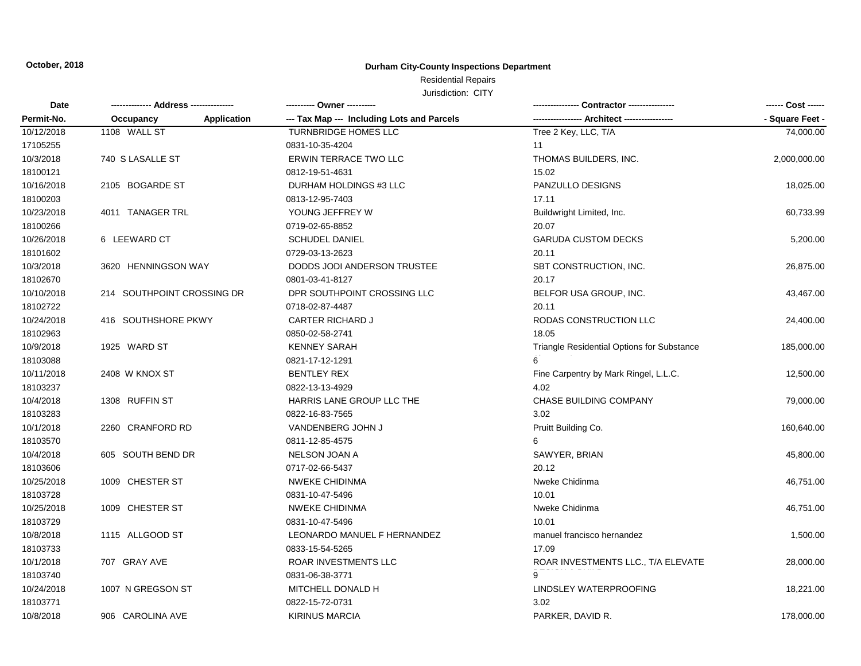### **Durham City-County Inspections Department**

### Residential Repairs

| <b>Date</b> |                            |                    | ---------- Owner ----------                |                                            |                 |
|-------------|----------------------------|--------------------|--------------------------------------------|--------------------------------------------|-----------------|
| Permit-No.  | Occupancy                  | <b>Application</b> | --- Tax Map --- Including Lots and Parcels | -- Architect -----                         | - Square Feet - |
| 10/12/2018  | 1108 WALL ST               |                    | <b>TURNBRIDGE HOMES LLC</b>                | Tree 2 Key, LLC, T/A                       | 74,000.00       |
| 17105255    |                            |                    | 0831-10-35-4204                            | 11                                         |                 |
| 10/3/2018   | 740 S LASALLE ST           |                    | <b>ERWIN TERRACE TWO LLC</b>               | THOMAS BUILDERS, INC.                      | 2,000,000.00    |
| 18100121    |                            |                    | 0812-19-51-4631                            | 15.02                                      |                 |
| 10/16/2018  | 2105 BOGARDE ST            |                    | DURHAM HOLDINGS #3 LLC                     | PANZULLO DESIGNS                           | 18,025.00       |
| 18100203    |                            |                    | 0813-12-95-7403                            | 17.11                                      |                 |
| 10/23/2018  | 4011 TANAGER TRL           |                    | YOUNG JEFFREY W                            | Buildwright Limited, Inc.                  | 60,733.99       |
| 18100266    |                            |                    | 0719-02-65-8852                            | 20.07                                      |                 |
| 10/26/2018  | 6 LEEWARD CT               |                    | <b>SCHUDEL DANIEL</b>                      | <b>GARUDA CUSTOM DECKS</b>                 | 5,200.00        |
| 18101602    |                            |                    | 0729-03-13-2623                            | 20.11                                      |                 |
| 10/3/2018   | 3620 HENNINGSON WAY        |                    | DODDS JODI ANDERSON TRUSTEE                | SBT CONSTRUCTION, INC.                     | 26,875.00       |
| 18102670    |                            |                    | 0801-03-41-8127                            | 20.17                                      |                 |
| 10/10/2018  | 214 SOUTHPOINT CROSSING DR |                    | DPR SOUTHPOINT CROSSING LLC                | BELFOR USA GROUP, INC.                     | 43,467.00       |
| 18102722    |                            |                    | 0718-02-87-4487                            | 20.11                                      |                 |
| 10/24/2018  | 416 SOUTHSHORE PKWY        |                    | <b>CARTER RICHARD J</b>                    | RODAS CONSTRUCTION LLC                     | 24,400.00       |
| 18102963    |                            |                    | 0850-02-58-2741                            | 18.05                                      |                 |
| 10/9/2018   | 1925 WARD ST               |                    | <b>KENNEY SARAH</b>                        | Triangle Residential Options for Substance | 185,000.00      |
| 18103088    |                            |                    | 0821-17-12-1291                            |                                            |                 |
| 10/11/2018  | 2408 W KNOX ST             |                    | <b>BENTLEY REX</b>                         | Fine Carpentry by Mark Ringel, L.L.C.      | 12,500.00       |
| 18103237    |                            |                    | 0822-13-13-4929                            | 4.02                                       |                 |
| 10/4/2018   | 1308 RUFFIN ST             |                    | HARRIS LANE GROUP LLC THE                  | <b>CHASE BUILDING COMPANY</b>              | 79,000.00       |
| 18103283    |                            |                    | 0822-16-83-7565                            | 3.02                                       |                 |
| 10/1/2018   | 2260 CRANFORD RD           |                    | VANDENBERG JOHN J                          | Pruitt Building Co.                        | 160,640.00      |
| 18103570    |                            |                    | 0811-12-85-4575                            |                                            |                 |
| 10/4/2018   | 605 SOUTH BEND DR          |                    | NELSON JOAN A                              | SAWYER, BRIAN                              | 45,800.00       |
| 18103606    |                            |                    | 0717-02-66-5437                            | 20.12                                      |                 |
| 10/25/2018  | 1009 CHESTER ST            |                    | <b>NWEKE CHIDINMA</b>                      | Nweke Chidinma                             | 46,751.00       |
| 18103728    |                            |                    | 0831-10-47-5496                            | 10.01                                      |                 |
| 10/25/2018  | 1009 CHESTER ST            |                    | NWEKE CHIDINMA                             | Nweke Chidinma                             | 46,751.00       |
| 18103729    |                            |                    | 0831-10-47-5496                            | 10.01                                      |                 |
| 10/8/2018   | 1115 ALLGOOD ST            |                    | LEONARDO MANUEL F HERNANDEZ                | manuel francisco hernandez                 | 1,500.00        |
| 18103733    |                            |                    | 0833-15-54-5265                            | 17.09                                      |                 |
| 10/1/2018   | 707 GRAY AVE               |                    | ROAR INVESTMENTS LLC                       | ROAR INVESTMENTS LLC., T/A ELEVATE         | 28,000.00       |
| 18103740    |                            |                    | 0831-06-38-3771                            | $\overline{9}$                             |                 |
| 10/24/2018  | 1007 N GREGSON ST          |                    | MITCHELL DONALD H                          | LINDSLEY WATERPROOFING                     | 18,221.00       |
| 18103771    |                            |                    | 0822-15-72-0731                            | 3.02                                       |                 |
| 10/8/2018   | 906 CAROLINA AVE           |                    | <b>KIRINUS MARCIA</b>                      | PARKER, DAVID R.                           | 178,000.00      |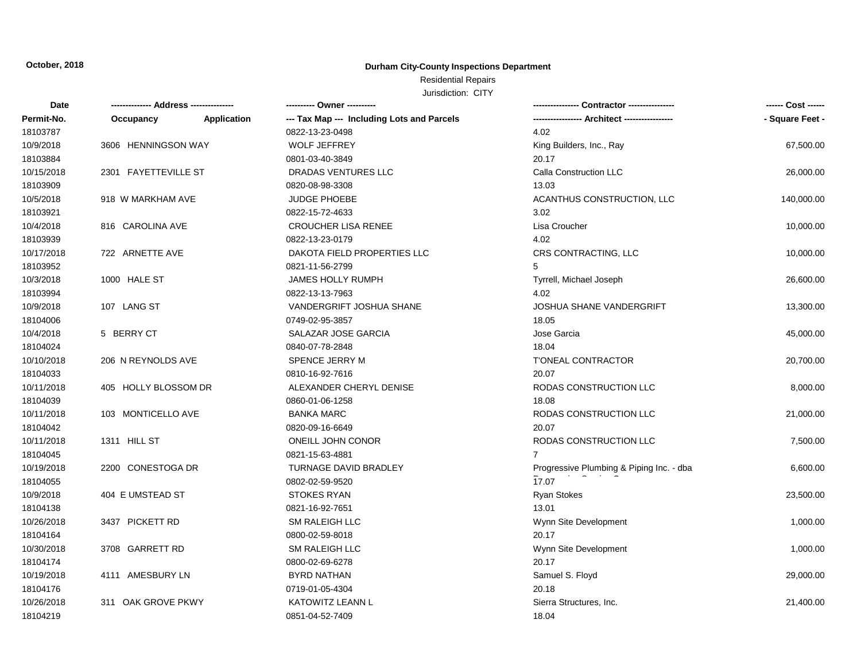### **Durham City-County Inspections Department**

# Residential Repairs

| Date       | -------------- Address --------------- |             |                                            |                                          |                 |
|------------|----------------------------------------|-------------|--------------------------------------------|------------------------------------------|-----------------|
| Permit-No. | Occupancy                              | Application | --- Tax Map --- Including Lots and Parcels |                                          | - Square Feet - |
| 18103787   |                                        |             | 0822-13-23-0498                            | 4.02                                     |                 |
| 10/9/2018  | 3606 HENNINGSON WAY                    |             | <b>WOLF JEFFREY</b>                        | King Builders, Inc., Ray                 | 67,500.00       |
| 18103884   |                                        |             | 0801-03-40-3849                            | 20.17                                    |                 |
| 10/15/2018 | 2301 FAYETTEVILLE ST                   |             | DRADAS VENTURES LLC                        | Calla Construction LLC                   | 26,000.00       |
| 18103909   |                                        |             | 0820-08-98-3308                            | 13.03                                    |                 |
| 10/5/2018  | 918 W MARKHAM AVE                      |             | JUDGE PHOEBE                               | ACANTHUS CONSTRUCTION, LLC               | 140,000.00      |
| 18103921   |                                        |             | 0822-15-72-4633                            | 3.02                                     |                 |
| 10/4/2018  | 816 CAROLINA AVE                       |             | <b>CROUCHER LISA RENEE</b>                 | Lisa Croucher                            | 10,000.00       |
| 18103939   |                                        |             | 0822-13-23-0179                            | 4.02                                     |                 |
| 10/17/2018 | 722 ARNETTE AVE                        |             | DAKOTA FIELD PROPERTIES LLC                | CRS CONTRACTING, LLC                     | 10,000.00       |
| 18103952   |                                        |             | 0821-11-56-2799                            | 5                                        |                 |
| 10/3/2018  | 1000 HALE ST                           |             | JAMES HOLLY RUMPH                          | Tyrrell, Michael Joseph                  | 26,600.00       |
| 18103994   |                                        |             | 0822-13-13-7963                            | 4.02                                     |                 |
| 10/9/2018  | 107 LANG ST                            |             | VANDERGRIFT JOSHUA SHANE                   | <b>JOSHUA SHANE VANDERGRIFT</b>          | 13,300.00       |
| 18104006   |                                        |             | 0749-02-95-3857                            | 18.05                                    |                 |
| 10/4/2018  | 5 BERRY CT                             |             | SALAZAR JOSE GARCIA                        | Jose Garcia                              | 45,000.00       |
| 18104024   |                                        |             | 0840-07-78-2848                            | 18.04                                    |                 |
| 10/10/2018 | 206 N REYNOLDS AVE                     |             | SPENCE JERRY M                             | <b>T'ONEAL CONTRACTOR</b>                | 20,700.00       |
| 18104033   |                                        |             | 0810-16-92-7616                            | 20.07                                    |                 |
| 10/11/2018 | 405 HOLLY BLOSSOM DR                   |             | ALEXANDER CHERYL DENISE                    | RODAS CONSTRUCTION LLC                   | 8,000.00        |
| 18104039   |                                        |             | 0860-01-06-1258                            | 18.08                                    |                 |
| 10/11/2018 | 103 MONTICELLO AVE                     |             | <b>BANKA MARC</b>                          | RODAS CONSTRUCTION LLC                   | 21,000.00       |
| 18104042   |                                        |             | 0820-09-16-6649                            | 20.07                                    |                 |
| 10/11/2018 | 1311 HILL ST                           |             | ONEILL JOHN CONOR                          | RODAS CONSTRUCTION LLC                   | 7,500.00        |
| 18104045   |                                        |             | 0821-15-63-4881                            | $\overline{7}$                           |                 |
| 10/19/2018 | 2200 CONESTOGA DR                      |             | TURNAGE DAVID BRADLEY                      | Progressive Plumbing & Piping Inc. - dba | 6,600.00        |
| 18104055   |                                        |             | 0802-02-59-9520                            | 17.07                                    |                 |
| 10/9/2018  | 404 E UMSTEAD ST                       |             | <b>STOKES RYAN</b>                         | <b>Ryan Stokes</b>                       | 23,500.00       |
| 18104138   |                                        |             | 0821-16-92-7651                            | 13.01                                    |                 |
| 10/26/2018 | 3437 PICKETT RD                        |             | <b>SM RALEIGH LLC</b>                      | Wynn Site Development                    | 1,000.00        |
| 18104164   |                                        |             | 0800-02-59-8018                            | 20.17                                    |                 |
| 10/30/2018 | 3708 GARRETT RD                        |             | SM RALEIGH LLC                             | Wynn Site Development                    | 1,000.00        |
| 18104174   |                                        |             | 0800-02-69-6278                            | 20.17                                    |                 |
| 10/19/2018 | 4111 AMESBURY LN                       |             | <b>BYRD NATHAN</b>                         | Samuel S. Floyd                          | 29,000.00       |
| 18104176   |                                        |             | 0719-01-05-4304                            | 20.18                                    |                 |
| 10/26/2018 | 311 OAK GROVE PKWY                     |             | <b>KATOWITZ LEANN L</b>                    | Sierra Structures, Inc.                  | 21,400.00       |
| 18104219   |                                        |             | 0851-04-52-7409                            | 18.04                                    |                 |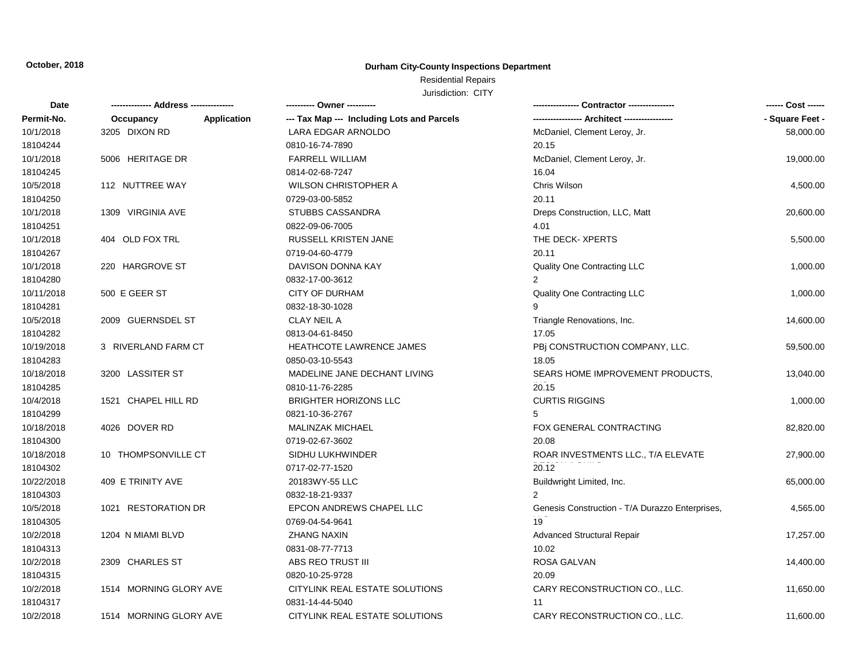### **Durham City-County Inspections Department**

# Residential Repairs

| Date       |                          |                                            |                                                 | ------ Cost ------ |
|------------|--------------------------|--------------------------------------------|-------------------------------------------------|--------------------|
| Permit-No. | Application<br>Occupancy | --- Tax Map --- Including Lots and Parcels |                                                 | - Square Feet -    |
| 10/1/2018  | 3205 DIXON RD            | LARA EDGAR ARNOLDO                         | McDaniel, Clement Leroy, Jr.                    | 58,000.00          |
| 18104244   |                          | 0810-16-74-7890                            | 20.15                                           |                    |
| 10/1/2018  | 5006 HERITAGE DR         | FARRELL WILLIAM                            | McDaniel, Clement Leroy, Jr.                    | 19,000.00          |
| 18104245   |                          | 0814-02-68-7247                            | 16.04                                           |                    |
| 10/5/2018  | 112 NUTTREE WAY          | <b>WILSON CHRISTOPHER A</b>                | Chris Wilson                                    | 4,500.00           |
| 18104250   |                          | 0729-03-00-5852                            | 20.11                                           |                    |
| 10/1/2018  | 1309 VIRGINIA AVE        | STUBBS CASSANDRA                           | Dreps Construction, LLC, Matt                   | 20,600.00          |
| 18104251   |                          | 0822-09-06-7005                            | 4.01                                            |                    |
| 10/1/2018  | 404 OLD FOX TRL          | RUSSELL KRISTEN JANE                       | THE DECK-XPERTS                                 | 5,500.00           |
| 18104267   |                          | 0719-04-60-4779                            | 20.11                                           |                    |
| 10/1/2018  | 220 HARGROVE ST          | DAVISON DONNA KAY                          | Quality One Contracting LLC                     | 1,000.00           |
| 18104280   |                          | 0832-17-00-3612                            | $\mathbf{2}^{\circ}$                            |                    |
| 10/11/2018 | 500 E GEER ST            | <b>CITY OF DURHAM</b>                      | Quality One Contracting LLC                     | 1,000.00           |
| 18104281   |                          | 0832-18-30-1028                            |                                                 |                    |
| 10/5/2018  | 2009 GUERNSDEL ST        | <b>CLAY NEIL A</b>                         | Triangle Renovations, Inc.                      | 14,600.00          |
| 18104282   |                          | 0813-04-61-8450                            | 17.05                                           |                    |
| 10/19/2018 | 3 RIVERLAND FARM CT      | <b>HEATHCOTE LAWRENCE JAMES</b>            | PBj CONSTRUCTION COMPANY, LLC.                  | 59,500.00          |
| 18104283   |                          | 0850-03-10-5543                            | 18.05                                           |                    |
| 10/18/2018 | 3200 LASSITER ST         | MADELINE JANE DECHANT LIVING               | SEARS HOME IMPROVEMENT PRODUCTS.                | 13,040.00          |
| 18104285   |                          | 0810-11-76-2285                            | 20.15                                           |                    |
| 10/4/2018  | 1521 CHAPEL HILL RD      | <b>BRIGHTER HORIZONS LLC</b>               | <b>CURTIS RIGGINS</b>                           | 1,000.00           |
| 18104299   |                          | 0821-10-36-2767                            | 5                                               |                    |
| 10/18/2018 | 4026 DOVER RD            | MALINZAK MICHAEL                           | FOX GENERAL CONTRACTING                         | 82,820.00          |
| 18104300   |                          | 0719-02-67-3602                            | 20.08                                           |                    |
| 10/18/2018 | 10 THOMPSONVILLE CT      | SIDHU LUKHWINDER                           | ROAR INVESTMENTS LLC., T/A ELEVATE              | 27,900.00          |
| 18104302   |                          | 0717-02-77-1520                            | 20.12                                           |                    |
| 10/22/2018 | 409 E TRINITY AVE        | 20183WY-55 LLC                             | Buildwright Limited, Inc.                       | 65,000.00          |
| 18104303   |                          | 0832-18-21-9337                            | $\overline{2}$                                  |                    |
| 10/5/2018  | 1021 RESTORATION DR      | EPCON ANDREWS CHAPEL LLC                   | Genesis Construction - T/A Durazzo Enterprises, | 4,565.00           |
| 18104305   |                          | 0769-04-54-9641                            | 19                                              |                    |
| 10/2/2018  | 1204 N MIAMI BLVD        | ZHANG NAXIN                                | <b>Advanced Structural Repair</b>               | 17,257.00          |
| 18104313   |                          | 0831-08-77-7713                            | 10.02                                           |                    |
| 10/2/2018  | 2309 CHARLES ST          | ABS REO TRUST III                          | ROSA GALVAN                                     | 14,400.00          |
| 18104315   |                          | 0820-10-25-9728                            | 20.09                                           |                    |
| 10/2/2018  | 1514 MORNING GLORY AVE   | CITYLINK REAL ESTATE SOLUTIONS             | CARY RECONSTRUCTION CO., LLC.                   | 11,650.00          |
| 18104317   |                          | 0831-14-44-5040                            | 11                                              |                    |
| 10/2/2018  | 1514 MORNING GLORY AVE   | CITYLINK REAL ESTATE SOLUTIONS             | CARY RECONSTRUCTION CO., LLC.                   | 11,600.00          |
|            |                          |                                            |                                                 |                    |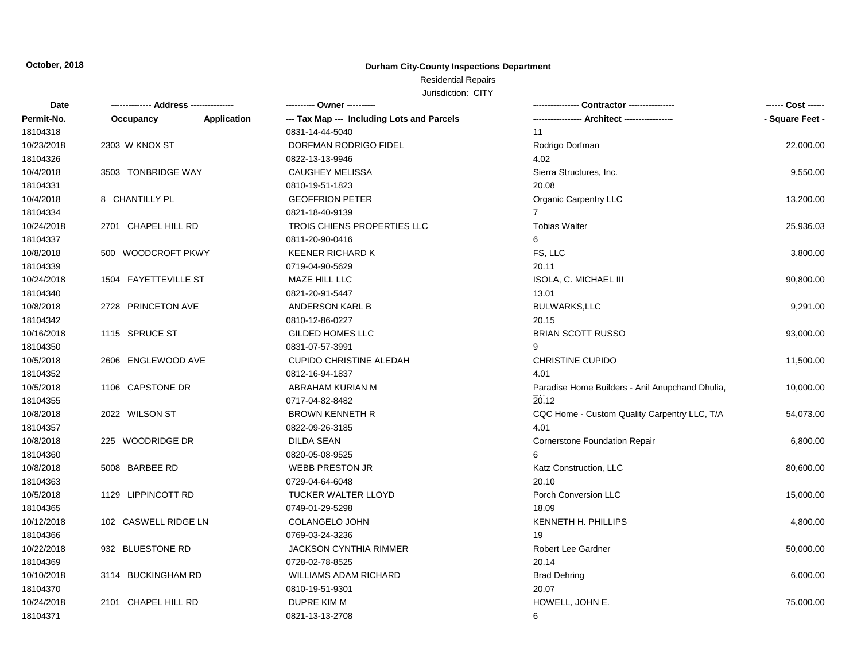### **Durham City-County Inspections Department**

### Residential Repairs

| Date       | -------------- Address --------------- |             | ---------- Owner ----------                |                                                 | ------ Cost ------ |
|------------|----------------------------------------|-------------|--------------------------------------------|-------------------------------------------------|--------------------|
| Permit-No. | Occupancy                              | Application | --- Tax Map --- Including Lots and Parcels | ----------------- Architect -----------------   | - Square Feet -    |
| 18104318   |                                        |             | 0831-14-44-5040                            | 11                                              |                    |
| 10/23/2018 | 2303 W KNOX ST                         |             | DORFMAN RODRIGO FIDEL                      | Rodrigo Dorfman                                 | 22,000.00          |
| 18104326   |                                        |             | 0822-13-13-9946                            | 4.02                                            |                    |
| 10/4/2018  | 3503 TONBRIDGE WAY                     |             | <b>CAUGHEY MELISSA</b>                     | Sierra Structures, Inc.                         | 9,550.00           |
| 18104331   |                                        |             | 0810-19-51-1823                            | 20.08                                           |                    |
| 10/4/2018  | 8 CHANTILLY PL                         |             | <b>GEOFFRION PETER</b>                     | Organic Carpentry LLC                           | 13,200.00          |
| 18104334   |                                        |             | 0821-18-40-9139                            | $\overline{7}$                                  |                    |
| 10/24/2018 | 2701 CHAPEL HILL RD                    |             | TROIS CHIENS PROPERTIES LLC                | <b>Tobias Walter</b>                            | 25,936.03          |
| 18104337   |                                        |             | 0811-20-90-0416                            | 6                                               |                    |
| 10/8/2018  | 500 WOODCROFT PKWY                     |             | KEENER RICHARD K                           | FS, LLC                                         | 3,800.00           |
| 18104339   |                                        |             | 0719-04-90-5629                            | 20.11                                           |                    |
| 10/24/2018 | 1504 FAYETTEVILLE ST                   |             | MAZE HILL LLC                              | <b>ISOLA, C. MICHAEL III</b>                    | 90,800.00          |
| 18104340   |                                        |             | 0821-20-91-5447                            | 13.01                                           |                    |
| 10/8/2018  | 2728 PRINCETON AVE                     |             | ANDERSON KARL B                            | <b>BULWARKS,LLC</b>                             | 9,291.00           |
| 18104342   |                                        |             | 0810-12-86-0227                            | 20.15                                           |                    |
| 10/16/2018 | 1115 SPRUCE ST                         |             | <b>GILDED HOMES LLC</b>                    | <b>BRIAN SCOTT RUSSO</b>                        | 93,000.00          |
| 18104350   |                                        |             | 0831-07-57-3991                            | 9                                               |                    |
| 10/5/2018  | 2606 ENGLEWOOD AVE                     |             | <b>CUPIDO CHRISTINE ALEDAH</b>             | <b>CHRISTINE CUPIDO</b>                         | 11,500.00          |
| 18104352   |                                        |             | 0812-16-94-1837                            | 4.01                                            |                    |
| 10/5/2018  | 1106 CAPSTONE DR                       |             | ABRAHAM KURIAN M                           | Paradise Home Builders - Anil Anupchand Dhulia, | 10,000.00          |
| 18104355   |                                        |             | 0717-04-82-8482                            | 20.12                                           |                    |
| 10/8/2018  | 2022 WILSON ST                         |             | <b>BROWN KENNETH R</b>                     | CQC Home - Custom Quality Carpentry LLC, T/A    | 54,073.00          |
| 18104357   |                                        |             | 0822-09-26-3185                            | 4.01                                            |                    |
| 10/8/2018  | 225 WOODRIDGE DR                       |             | <b>DILDA SEAN</b>                          | <b>Cornerstone Foundation Repair</b>            | 6,800.00           |
| 18104360   |                                        |             | 0820-05-08-9525                            | 6                                               |                    |
| 10/8/2018  | 5008 BARBEE RD                         |             | <b>WEBB PRESTON JR</b>                     | Katz Construction, LLC                          | 80,600.00          |
| 18104363   |                                        |             | 0729-04-64-6048                            | 20.10                                           |                    |
| 10/5/2018  | 1129 LIPPINCOTT RD                     |             | <b>TUCKER WALTER LLOYD</b>                 | Porch Conversion LLC                            | 15,000.00          |
| 18104365   |                                        |             | 0749-01-29-5298                            | 18.09                                           |                    |
| 10/12/2018 | 102 CASWELL RIDGE LN                   |             | COLANGELO JOHN                             | KENNETH H. PHILLIPS                             | 4,800.00           |
| 18104366   |                                        |             | 0769-03-24-3236                            | 19                                              |                    |
| 10/22/2018 | 932 BLUESTONE RD                       |             | <b>JACKSON CYNTHIA RIMMER</b>              | Robert Lee Gardner                              | 50,000.00          |
| 18104369   |                                        |             | 0728-02-78-8525                            | 20.14                                           |                    |
| 10/10/2018 | 3114 BUCKINGHAM RD                     |             | <b>WILLIAMS ADAM RICHARD</b>               | <b>Brad Dehring</b>                             | 6,000.00           |
| 18104370   |                                        |             | 0810-19-51-9301                            | 20.07                                           |                    |
| 10/24/2018 | 2101 CHAPEL HILL RD                    |             | <b>DUPRE KIM M</b>                         | HOWELL, JOHN E.                                 | 75,000.00          |
| 18104371   |                                        |             | 0821-13-13-2708                            | 6                                               |                    |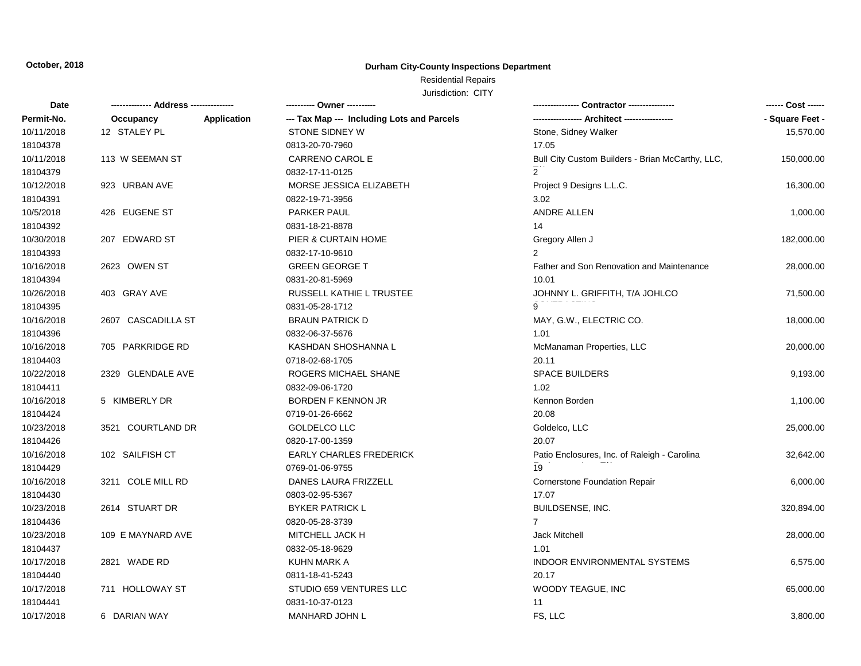### **Durham City-County Inspections Department**

# Residential Repairs

| Date       | -------------- Address --------------- | ---------- Owner ----------                                      |                                                  | ------ Cost ------ |
|------------|----------------------------------------|------------------------------------------------------------------|--------------------------------------------------|--------------------|
| Permit-No. | Occupancy                              | <b>Application</b><br>--- Tax Map --- Including Lots and Parcels |                                                  | - Square Feet -    |
| 10/11/2018 | 12 STALEY PL                           | <b>STONE SIDNEY W</b>                                            | Stone, Sidney Walker                             | 15,570.00          |
| 18104378   |                                        | 0813-20-70-7960                                                  | 17.05                                            |                    |
| 10/11/2018 | 113 W SEEMAN ST                        | CARRENO CAROL E                                                  | Bull City Custom Builders - Brian McCarthy, LLC, | 150,000.00         |
| 18104379   |                                        | 0832-17-11-0125                                                  | $2^{\circ}$                                      |                    |
| 10/12/2018 | 923 URBAN AVE                          | MORSE JESSICA ELIZABETH                                          | Project 9 Designs L.L.C.                         | 16,300.00          |
| 18104391   |                                        | 0822-19-71-3956                                                  | 3.02                                             |                    |
| 10/5/2018  | 426 EUGENE ST                          | PARKER PAUL                                                      | ANDRE ALLEN                                      | 1,000.00           |
| 18104392   |                                        | 0831-18-21-8878                                                  | 14                                               |                    |
| 10/30/2018 | 207 EDWARD ST                          | PIER & CURTAIN HOME                                              | Gregory Allen J                                  | 182,000.00         |
| 18104393   |                                        | 0832-17-10-9610                                                  | $\overline{2}$                                   |                    |
| 10/16/2018 | 2623 OWEN ST                           | <b>GREEN GEORGE T</b>                                            | Father and Son Renovation and Maintenance        | 28,000.00          |
| 18104394   |                                        | 0831-20-81-5969                                                  | 10.01                                            |                    |
| 10/26/2018 | 403 GRAY AVE                           | RUSSELL KATHIE L TRUSTEE                                         | JOHNNY L. GRIFFITH, T/A JOHLCO                   | 71,500.00          |
| 18104395   |                                        | 0831-05-28-1712                                                  |                                                  |                    |
| 10/16/2018 | 2607 CASCADILLA ST                     | <b>BRAUN PATRICK D</b>                                           | MAY, G.W., ELECTRIC CO.                          | 18,000.00          |
| 18104396   |                                        | 0832-06-37-5676                                                  | 1.01                                             |                    |
| 10/16/2018 | 705 PARKRIDGE RD                       | KASHDAN SHOSHANNA L                                              | McManaman Properties, LLC                        | 20,000.00          |
| 18104403   |                                        | 0718-02-68-1705                                                  | 20.11                                            |                    |
| 10/22/2018 | 2329 GLENDALE AVE                      | ROGERS MICHAEL SHANE                                             | <b>SPACE BUILDERS</b>                            | 9,193.00           |
| 18104411   |                                        | 0832-09-06-1720                                                  | 1.02                                             |                    |
| 10/16/2018 | 5 KIMBERLY DR                          | BORDEN F KENNON JR                                               | Kennon Borden                                    | 1,100.00           |
| 18104424   |                                        | 0719-01-26-6662                                                  | 20.08                                            |                    |
| 10/23/2018 | 3521 COURTLAND DR                      | GOLDELCO LLC                                                     | Goldelco, LLC                                    | 25,000.00          |
| 18104426   |                                        | 0820-17-00-1359                                                  | 20.07                                            |                    |
| 10/16/2018 | 102 SAILFISH CT                        | <b>EARLY CHARLES FREDERICK</b>                                   | Patio Enclosures, Inc. of Raleigh - Carolina     | 32,642.00          |
| 18104429   |                                        | 0769-01-06-9755                                                  | 19                                               |                    |
| 10/16/2018 | 3211 COLE MILL RD                      | DANES LAURA FRIZZELL                                             | <b>Cornerstone Foundation Repair</b>             | 6,000.00           |
| 18104430   |                                        | 0803-02-95-5367                                                  | 17.07                                            |                    |
| 10/23/2018 | 2614 STUART DR                         | <b>BYKER PATRICK L</b>                                           | BUILDSENSE, INC.                                 | 320,894.00         |
| 18104436   |                                        | 0820-05-28-3739                                                  | $\overline{7}$                                   |                    |
| 10/23/2018 | 109 E MAYNARD AVE                      | MITCHELL JACK H                                                  | <b>Jack Mitchell</b>                             | 28,000.00          |
| 18104437   |                                        | 0832-05-18-9629                                                  | 1.01                                             |                    |
| 10/17/2018 | 2821 WADE RD                           | KUHN MARK A                                                      | INDOOR ENVIRONMENTAL SYSTEMS                     | 6,575.00           |
| 18104440   |                                        | 0811-18-41-5243                                                  | 20.17                                            |                    |
| 10/17/2018 | 711 HOLLOWAY ST                        | STUDIO 659 VENTURES LLC                                          | WOODY TEAGUE, INC                                | 65,000.00          |
| 18104441   |                                        | 0831-10-37-0123                                                  | 11                                               |                    |
| 10/17/2018 | 6 DARIAN WAY                           | MANHARD JOHN L                                                   | FS, LLC                                          | 3,800.00           |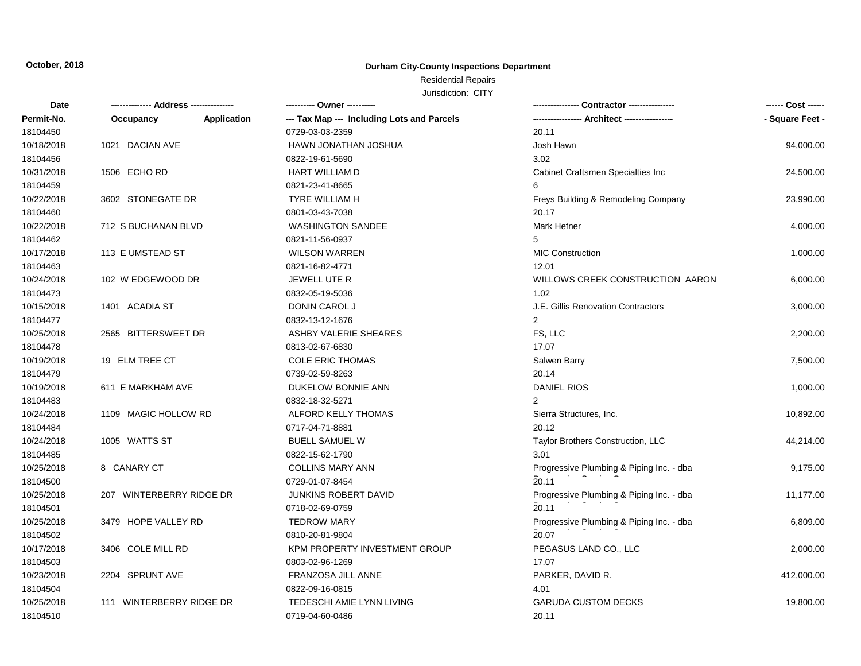### **Durham City-County Inspections Department**

# Residential Repairs

| Date       |                          |                    |                                            |                                          | ------ Cost ------ |
|------------|--------------------------|--------------------|--------------------------------------------|------------------------------------------|--------------------|
| Permit-No. | Occupancy                | <b>Application</b> | --- Tax Map --- Including Lots and Parcels | -- Architect ----------------            | - Square Feet -    |
| 18104450   |                          |                    | 0729-03-03-2359                            | 20.11                                    |                    |
| 10/18/2018 | 1021 DACIAN AVE          |                    | HAWN JONATHAN JOSHUA                       | Josh Hawn                                | 94,000.00          |
| 18104456   |                          |                    | 0822-19-61-5690                            | 3.02                                     |                    |
| 10/31/2018 | 1506 ECHO RD             |                    | HART WILLIAM D                             | Cabinet Craftsmen Specialties Inc        | 24,500.00          |
| 18104459   |                          |                    | 0821-23-41-8665                            | 6                                        |                    |
| 10/22/2018 | 3602 STONEGATE DR        |                    | <b>TYRE WILLIAM H</b>                      | Freys Building & Remodeling Company      | 23,990.00          |
| 18104460   |                          |                    | 0801-03-43-7038                            | 20.17                                    |                    |
| 10/22/2018 | 712 S BUCHANAN BLVD      |                    | <b>WASHINGTON SANDEE</b>                   | Mark Hefner                              | 4,000.00           |
| 18104462   |                          |                    | 0821-11-56-0937                            | 5                                        |                    |
| 10/17/2018 | 113 E UMSTEAD ST         |                    | <b>WILSON WARREN</b>                       | <b>MIC Construction</b>                  | 1,000.00           |
| 18104463   |                          |                    | 0821-16-82-4771                            | 12.01                                    |                    |
| 10/24/2018 | 102 W EDGEWOOD DR        |                    | JEWELL UTE R                               | WILLOWS CREEK CONSTRUCTION AARON         | 6,000.00           |
| 18104473   |                          |                    | 0832-05-19-5036                            | 1.02                                     |                    |
| 10/15/2018 | 1401 ACADIA ST           |                    | DONIN CAROL J                              | J.E. Gillis Renovation Contractors       | 3,000.00           |
| 18104477   |                          |                    | 0832-13-12-1676                            | 2                                        |                    |
| 10/25/2018 | 2565 BITTERSWEET DR      |                    | ASHBY VALERIE SHEARES                      | FS, LLC                                  | 2,200.00           |
| 18104478   |                          |                    | 0813-02-67-6830                            | 17.07                                    |                    |
| 10/19/2018 | 19 ELM TREE CT           |                    | <b>COLE ERIC THOMAS</b>                    | Salwen Barry                             | 7,500.00           |
| 18104479   |                          |                    | 0739-02-59-8263                            | 20.14                                    |                    |
| 10/19/2018 | 611 E MARKHAM AVE        |                    | DUKELOW BONNIE ANN                         | <b>DANIEL RIOS</b>                       | 1,000.00           |
| 18104483   |                          |                    | 0832-18-32-5271                            | $\overline{2}$                           |                    |
| 10/24/2018 | 1109 MAGIC HOLLOW RD     |                    | ALFORD KELLY THOMAS                        | Sierra Structures, Inc.                  | 10,892.00          |
| 18104484   |                          |                    | 0717-04-71-8881                            | 20.12                                    |                    |
| 10/24/2018 | 1005 WATTS ST            |                    | <b>BUELL SAMUEL W</b>                      | Taylor Brothers Construction, LLC        | 44,214.00          |
| 18104485   |                          |                    | 0822-15-62-1790                            | 3.01                                     |                    |
| 10/25/2018 | 8 CANARY CT              |                    | <b>COLLINS MARY ANN</b>                    | Progressive Plumbing & Piping Inc. - dba | 9,175.00           |
| 18104500   |                          |                    | 0729-01-07-8454                            | 20.11                                    |                    |
| 10/25/2018 | 207 WINTERBERRY RIDGE DR |                    | <b>JUNKINS ROBERT DAVID</b>                | Progressive Plumbing & Piping Inc. - dba | 11,177.00          |
| 18104501   |                          |                    | 0718-02-69-0759                            | 20.11                                    |                    |
| 10/25/2018 | 3479 HOPE VALLEY RD      |                    | <b>TEDROW MARY</b>                         | Progressive Plumbing & Piping Inc. - dba | 6,809.00           |
| 18104502   |                          |                    | 0810-20-81-9804                            | 20.07                                    |                    |
| 10/17/2018 | 3406 COLE MILL RD        |                    | KPM PROPERTY INVESTMENT GROUP              | PEGASUS LAND CO., LLC                    | 2,000.00           |
| 18104503   |                          |                    | 0803-02-96-1269                            | 17.07                                    |                    |
| 10/23/2018 | 2204 SPRUNT AVE          |                    | FRANZOSA JILL ANNE                         | PARKER, DAVID R.                         | 412,000.00         |
| 18104504   |                          |                    | 0822-09-16-0815                            | 4.01                                     |                    |
| 10/25/2018 | 111 WINTERBERRY RIDGE DR |                    | TEDESCHI AMIE LYNN LIVING                  | <b>GARUDA CUSTOM DECKS</b>               | 19,800.00          |
| 18104510   |                          |                    | 0719-04-60-0486                            | 20.11                                    |                    |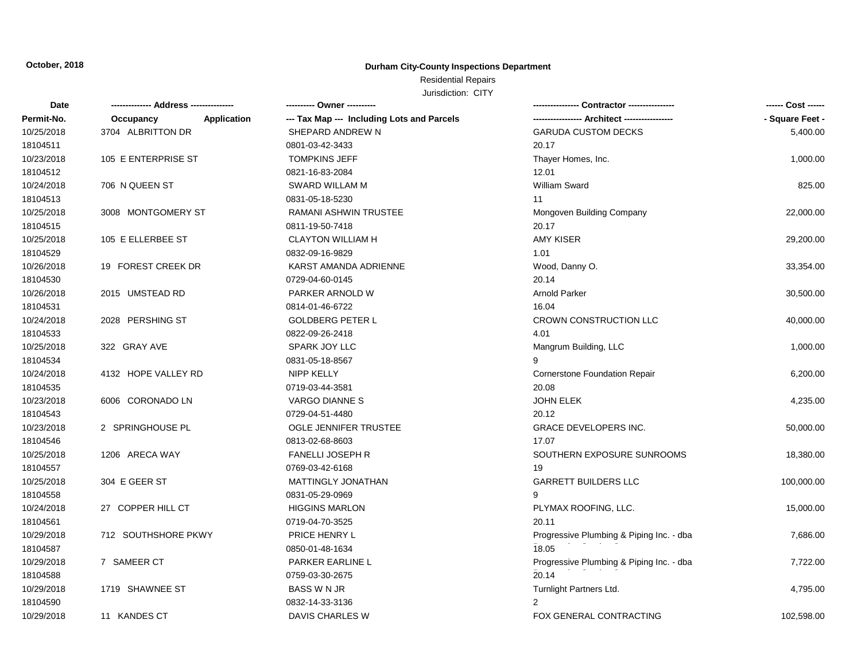### **Durham City-County Inspections Department**

# Residential Repairs

| Date       |                     | ---------- Owner ----------                               |                                          | ------ Cost ------ |
|------------|---------------------|-----------------------------------------------------------|------------------------------------------|--------------------|
| Permit-No. | Occupancy           | --- Tax Map --- Including Lots and Parcels<br>Application |                                          | - Square Feet -    |
| 10/25/2018 | 3704 ALBRITTON DR   | SHEPARD ANDREW N                                          | <b>GARUDA CUSTOM DECKS</b>               | 5,400.00           |
| 18104511   |                     | 0801-03-42-3433                                           | 20.17                                    |                    |
| 10/23/2018 | 105 E ENTERPRISE ST | <b>TOMPKINS JEFF</b>                                      | Thayer Homes, Inc.                       | 1,000.00           |
| 18104512   |                     | 0821-16-83-2084                                           | 12.01                                    |                    |
| 10/24/2018 | 706 N QUEEN ST      | SWARD WILLAM M                                            | <b>William Sward</b>                     | 825.00             |
| 18104513   |                     | 0831-05-18-5230                                           | 11                                       |                    |
| 10/25/2018 | 3008 MONTGOMERY ST  | RAMANI ASHWIN TRUSTEE                                     | Mongoven Building Company                | 22,000.00          |
| 18104515   |                     | 0811-19-50-7418                                           | 20.17                                    |                    |
| 10/25/2018 | 105 E ELLERBEE ST   | <b>CLAYTON WILLIAM H</b>                                  | <b>AMY KISER</b>                         | 29,200.00          |
| 18104529   |                     | 0832-09-16-9829                                           | 1.01                                     |                    |
| 10/26/2018 | 19 FOREST CREEK DR  | KARST AMANDA ADRIENNE                                     | Wood, Danny O.                           | 33,354.00          |
| 18104530   |                     | 0729-04-60-0145                                           | 20.14                                    |                    |
| 10/26/2018 | 2015 UMSTEAD RD     | PARKER ARNOLD W                                           | <b>Arnold Parker</b>                     | 30,500.00          |
| 18104531   |                     | 0814-01-46-6722                                           | 16.04                                    |                    |
| 10/24/2018 | 2028 PERSHING ST    | <b>GOLDBERG PETER L</b>                                   | <b>CROWN CONSTRUCTION LLC</b>            | 40,000.00          |
| 18104533   |                     | 0822-09-26-2418                                           | 4.01                                     |                    |
| 10/25/2018 | 322 GRAY AVE        | SPARK JOY LLC                                             | Mangrum Building, LLC                    | 1,000.00           |
| 18104534   |                     | 0831-05-18-8567                                           |                                          |                    |
| 10/24/2018 | 4132 HOPE VALLEY RD | <b>NIPP KELLY</b>                                         | <b>Cornerstone Foundation Repair</b>     | 6,200.00           |
| 18104535   |                     | 0719-03-44-3581                                           | 20.08                                    |                    |
| 10/23/2018 | 6006 CORONADO LN    | VARGO DIANNE S                                            | JOHN ELEK                                | 4,235.00           |
| 18104543   |                     | 0729-04-51-4480                                           | 20.12                                    |                    |
| 10/23/2018 | 2 SPRINGHOUSE PL    | OGLE JENNIFER TRUSTEE                                     | <b>GRACE DEVELOPERS INC.</b>             | 50,000.00          |
| 18104546   |                     | 0813-02-68-8603                                           | 17.07                                    |                    |
| 10/25/2018 | 1206 ARECA WAY      | <b>FANELLI JOSEPH R</b>                                   | SOUTHERN EXPOSURE SUNROOMS               | 18,380.00          |
| 18104557   |                     | 0769-03-42-6168                                           | 19                                       |                    |
| 10/25/2018 | 304 E GEER ST       | MATTINGLY JONATHAN                                        | <b>GARRETT BUILDERS LLC</b>              | 100,000.00         |
| 18104558   |                     | 0831-05-29-0969                                           | 9                                        |                    |
| 10/24/2018 | 27 COPPER HILL CT   | <b>HIGGINS MARLON</b>                                     | PLYMAX ROOFING, LLC.                     | 15,000.00          |
| 18104561   |                     | 0719-04-70-3525                                           | 20.11                                    |                    |
| 10/29/2018 | 712 SOUTHSHORE PKWY | PRICE HENRY L                                             | Progressive Plumbing & Piping Inc. - dba | 7,686.00           |
| 18104587   |                     | 0850-01-48-1634                                           | 18.05                                    |                    |
| 10/29/2018 | 7 SAMEER CT         | PARKER EARLINE L                                          | Progressive Plumbing & Piping Inc. - dba | 7,722.00           |
| 18104588   |                     | 0759-03-30-2675                                           | 20.14                                    |                    |
| 10/29/2018 | 1719 SHAWNEE ST     | <b>BASS W N JR</b>                                        | Turnlight Partners Ltd.                  | 4,795.00           |
| 18104590   |                     | 0832-14-33-3136                                           | $\overline{2}$                           |                    |
| 10/29/2018 | 11 KANDES CT        | DAVIS CHARLES W                                           | FOX GENERAL CONTRACTING                  | 102,598.00         |